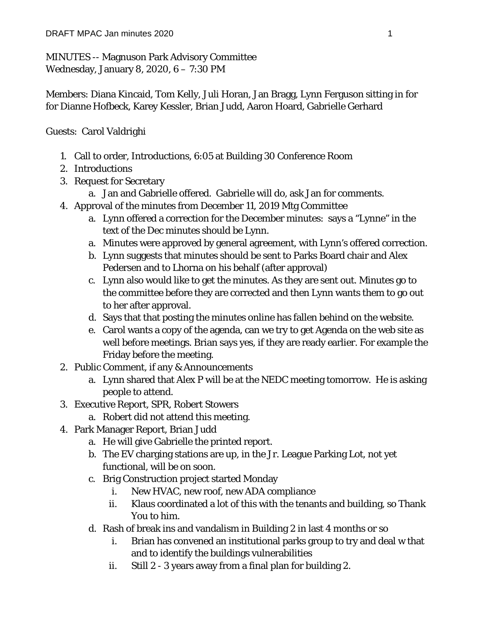MINUTES -- Magnuson Park Advisory Committee Wednesday, January 8, 2020, 6 – 7:30 PM

Members: Diana Kincaid, Tom Kelly, Juli Horan, Jan Bragg, Lynn Ferguson sitting in for for Dianne Hofbeck, Karey Kessler, Brian Judd, Aaron Hoard, Gabrielle Gerhard

## Guests: Carol Valdrighi

- 1. Call to order, Introductions, 6:05 at Building 30 Conference Room
- 2. Introductions
- 3. Request for Secretary
	- a. Jan and Gabrielle offered. Gabrielle will do, ask Jan for comments.
- 4. Approval of the minutes from December 11, 2019 Mtg Committee
	- a. Lynn offered a correction for the December minutes: says a "Lynne" in the text of the Dec minutes should be Lynn.
	- a. Minutes were approved by general agreement, with Lynn's offered correction.
	- b. Lynn suggests that minutes should be sent to Parks Board chair and Alex Pedersen and to Lhorna on his behalf (after approval)
	- c. Lynn also would like to get the minutes. As they are sent out. Minutes go to the committee before they are corrected and then Lynn wants them to go out to her after approval.
	- d. Says that that posting the minutes online has fallen behind on the website.
	- e. Carol wants a copy of the agenda, can we try to get Agenda on the web site as well before meetings. Brian says yes, if they are ready earlier. For example the Friday before the meeting.
- 2. Public Comment, if any & Announcements
	- a. Lynn shared that Alex P will be at the NEDC meeting tomorrow. He is asking people to attend.
- 3. Executive Report, SPR, Robert Stowers
	- a. Robert did not attend this meeting.
- 4. Park Manager Report, Brian Judd
	- a. He will give Gabrielle the printed report.
	- b. The EV charging stations are up, in the Jr. League Parking Lot, not yet functional, will be on soon.
	- c. Brig Construction project started Monday
		- i. New HVAC, new roof, new ADA compliance
		- ii. Klaus coordinated a lot of this with the tenants and building, so Thank You to him.
	- d. Rash of break ins and vandalism in Building 2 in last 4 months or so
		- i. Brian has convened an institutional parks group to try and deal w that and to identify the buildings vulnerabilities
		- ii. Still 2 3 years away from a final plan for building 2.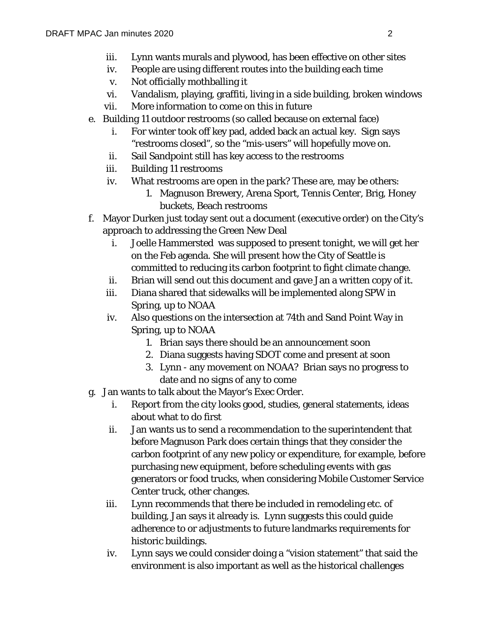- iii. Lynn wants murals and plywood, has been effective on other sites
- iv. People are using different routes into the building each time
- v. Not officially mothballing it
- vi. Vandalism, playing, graffiti, living in a side building, broken windows
- vii. More information to come on this in future
- e. Building 11 outdoor restrooms (so called because on external face)
	- i. For winter took off key pad, added back an actual key. Sign says "restrooms closed", so the "mis-users" will hopefully move on.
	- ii. Sail Sandpoint still has key access to the restrooms
	- iii. Building 11 restrooms
	- iv. What restrooms are open in the park? These are, may be others:
		- 1. Magnuson Brewery, Arena Sport, Tennis Center, Brig, Honey buckets, Beach restrooms
- f. Mayor Durken just today sent out a document (executive order) on the City's approach to addressing the Green New Deal
	- i. Joelle Hammersted was supposed to present tonight, we will get her on the Feb agenda. She will present how the City of Seattle is committed to reducing its carbon footprint to fight climate change.
	- ii. Brian will send out this document and gave Jan a written copy of it.
	- iii. Diana shared that sidewalks will be implemented along SPW in Spring, up to NOAA
	- iv. Also questions on the intersection at 74th and Sand Point Way in Spring, up to NOAA
		- 1. Brian says there should be an announcement soon
		- 2. Diana suggests having SDOT come and present at soon
		- 3. Lynn any movement on NOAA? Brian says no progress to date and no signs of any to come
- g. Jan wants to talk about the Mayor's Exec Order.
	- i. Report from the city looks good, studies, general statements, ideas about what to do first
	- ii. Jan wants us to send a recommendation to the superintendent that before Magnuson Park does certain things that they consider the carbon footprint of any new policy or expenditure, for example, before purchasing new equipment, before scheduling events with gas generators or food trucks, when considering Mobile Customer Service Center truck, other changes.
	- iii. Lynn recommends that there be included in remodeling etc. of building, Jan says it already is. Lynn suggests this could guide adherence to or adjustments to future landmarks requirements for historic buildings.
	- iv. Lynn says we could consider doing a "vision statement" that said the environment is also important as well as the historical challenges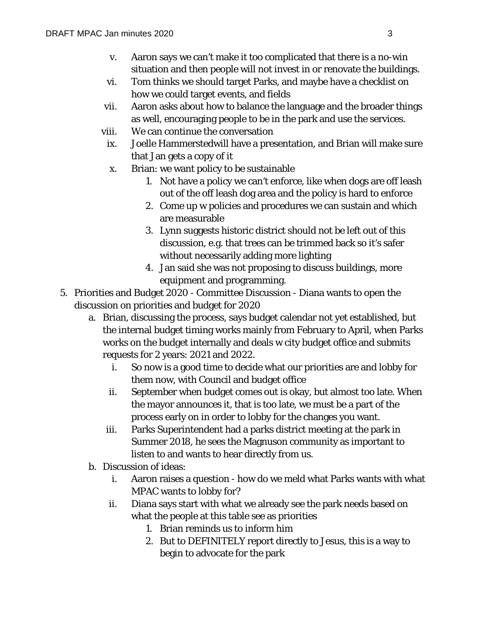- v. Aaron says we can't make it too complicated that there is a no-win situation and then people will not invest in or renovate the buildings.
- vi. Tom thinks we should target Parks, and maybe have a checklist on how we could target events, and fields
- vii. Aaron asks about how to balance the language and the broader things as well, encouraging people to be in the park and use the services.
- viii. We can continue the conversation
	- ix. Joelle Hammerstedwill have a presentation, and Brian will make sure that Jan gets a copy of it
	- x. Brian: we want policy to be sustainable
		- 1. Not have a policy we can't enforce, like when dogs are off leash out of the off leash dog area and the policy is hard to enforce
		- 2. Come up w policies and procedures we can sustain and which are measurable
		- 3. Lynn suggests historic district should not be left out of this discussion, e.g. that trees can be trimmed back so it's safer without necessarily adding more lighting
		- 4. Jan said she was not proposing to discuss buildings, more equipment and programming.
- 5. Priorities and Budget 2020 Committee Discussion Diana wants to open the discussion on priorities and budget for 2020
	- a. Brian, discussing the process, says budget calendar not yet established, but the internal budget timing works mainly from February to April, when Parks works on the budget internally and deals w city budget office and submits requests for 2 years: 2021 and 2022.
		- i. So now is a good time to decide what our priorities are and lobby for them now, with Council and budget office
		- ii. September when budget comes out is okay, but almost too late. When the mayor announces it, that is too late, we must be a part of the process early on in order to lobby for the changes you want.
		- iii. Parks Superintendent had a parks district meeting at the park in Summer 2018, he sees the Magnuson community as important to listen to and wants to hear directly from us.
	- b. Discussion of ideas:
		- i. Aaron raises a question how do we meld what Parks wants with what MPAC wants to lobby for?
		- ii. Diana says start with what we already see the park needs based on what the people at this table see as priorities
			- 1. Brian reminds us to inform him
			- 2. But to DEFINITELY report directly to Jesus, this is a way to begin to advocate for the park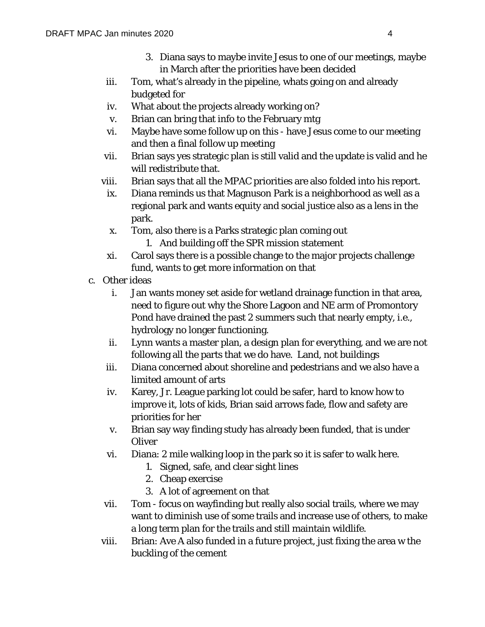- 3. Diana says to maybe invite Jesus to one of our meetings, maybe in March after the priorities have been decided
- iii. Tom, what's already in the pipeline, whats going on and already budgeted for
- iv. What about the projects already working on?
- v. Brian can bring that info to the February mtg
- vi. Maybe have some follow up on this have Jesus come to our meeting and then a final follow up meeting
- vii. Brian says yes strategic plan is still valid and the update is valid and he will redistribute that.
- viii. Brian says that all the MPAC priorities are also folded into his report.
	- ix. Diana reminds us that Magnuson Park is a neighborhood as well as a regional park and wants equity and social justice also as a lens in the park.
	- x. Tom, also there is a Parks strategic plan coming out
		- 1. And building off the SPR mission statement
	- xi. Carol says there is a possible change to the major projects challenge fund, wants to get more information on that
- c. Other ideas
	- i. Jan wants money set aside for wetland drainage function in that area, need to figure out why the Shore Lagoon and NE arm of Promontory Pond have drained the past 2 summers such that nearly empty, i.e., hydrology no longer functioning.
	- ii. Lynn wants a master plan, a design plan for everything, and we are not following all the parts that we do have. Land, not buildings
	- iii. Diana concerned about shoreline and pedestrians and we also have a limited amount of arts
	- iv. Karey, Jr. League parking lot could be safer, hard to know how to improve it, lots of kids, Brian said arrows fade, flow and safety are priorities for her
	- v. Brian say way finding study has already been funded, that is under **Oliver**
	- vi. Diana: 2 mile walking loop in the park so it is safer to walk here.
		- 1. Signed, safe, and clear sight lines
		- 2. Cheap exercise
		- 3. A lot of agreement on that
	- vii. Tom focus on wayfinding but really also social trails, where we may want to diminish use of some trails and increase use of others, to make a long term plan for the trails and still maintain wildlife.
	- viii. Brian: Ave A also funded in a future project, just fixing the area w the buckling of the cement